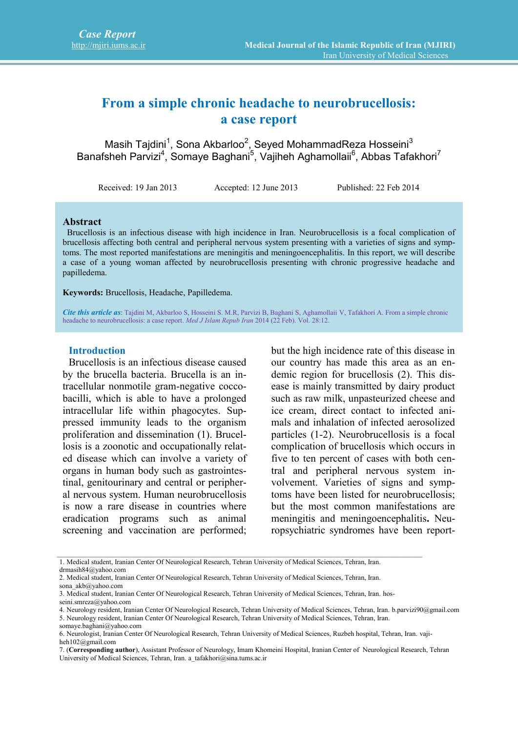# **From a simple chronic headache to neurobrucellosis: a case report**

Masih Tajdini<sup>1</sup>, Sona Akbarloo<sup>2</sup>, Seyed MohammadReza Hosseini $^3$ Banafsheh Parvizi<sup>4</sup>, Somaye Baghani<sup>5</sup>, Vajiheh Aghamollaii<sup>6</sup>, Abbas Tafakhori<sup>7</sup>

Received: 19 Jan 2013 Accepted: 12 June 2013 Published: 22 Feb 2014

#### **Abstract**

Brucellosis is an infectious disease with high incidence in Iran. Neurobrucellosis is a focal complication of brucellosis affecting both central and peripheral nervous system presenting with a varieties of signs and symptoms. The most reported manifestations are meningitis and meningoencephalitis. In this report, we will describe a case of a young woman affected by neurobrucellosis presenting with chronic progressive headache and papilledema.

**Keywords:** Brucellosis, Headache, Papilledema.

*Cite this article as*: Tajdini M, Akbarloo S, Hosseini S. M.R, Parvizi B, Baghani S, Aghamollaii V, Tafakhori A. From a simple chronic headache to neurobrucellosis: a case report. *Med J Islam Repub Iran* 2014 (22 Feb). Vol. 28:12.

#### **Introduction**

Brucellosis is an infectious disease caused by the brucella bacteria. Brucella is an intracellular nonmotile gram-negative coccobacilli, which is able to have a prolonged intracellular life within phagocytes. Suppressed immunity leads to the organism proliferation and dissemination (1). Brucellosis is a zoonotic and occupationally related disease which can involve a variety of organs in human body such as gastrointestinal, genitourinary and central or peripheral nervous system. Human neurobrucellosis is now a rare disease in countries where eradication programs such as animal screening and vaccination are performed; but the high incidence rate of this disease in our country has made this area as an endemic region for brucellosis (2). This disease is mainly transmitted by dairy product such as raw milk, unpasteurized cheese and ice cream, direct contact to infected animals and inhalation of infected aerosolized particles (1-2). Neurobrucellosis is a focal complication of brucellosis which occurs in five to ten percent of cases with both central and peripheral nervous system involvement. Varieties of signs and symptoms have been listed for neurobrucellosis; but the most common manifestations are meningitis and meningoencephalitis**.** Neuropsychiatric syndromes have been report-

 $\_$  , and the state of the state of the state of the state of the state of the state of the state of the state of the state of the state of the state of the state of the state of the state of the state of the state of the

somaye.baghani@yahoo.com

<sup>1.</sup> Medical student, Iranian Center Of Neurological Research, Tehran University of Medical Sciences, Tehran, Iran. drmasih84@yahoo.com

<sup>2.</sup> Medical student, Iranian Center Of Neurological Research, Tehran University of Medical Sciences, Tehran, Iran.

sona\_akb@yahoo.com

<sup>3.</sup> Medical student, Iranian Center Of Neurological Research, Tehran University of Medical Sciences, Tehran, Iran. hos-

seini.smreza@yahoo.com

<sup>4.</sup> Neurology resident, Iranian Center Of Neurological Research, Tehran University of Medical Sciences, Tehran, Iran. b.parvizi90@gmail.com 5. Neurology resident, Iranian Center Of Neurological Research, Tehran University of Medical Sciences, Tehran, Iran.

<sup>6.</sup> Neurologist, Iranian Center Of Neurological Research, Tehran University of Medical Sciences, Ruzbeh hospital, Tehran, Iran. vajiheh102@gmail.com

<sup>7. (</sup>**Corresponding author**), Assistant Professor of Neurology, Imam Khomeini Hospital, Iranian Center of Neurological Research, Tehran University of Medical Sciences, Tehran, Iran. a\_tafakhori@sina.tums.ac.ir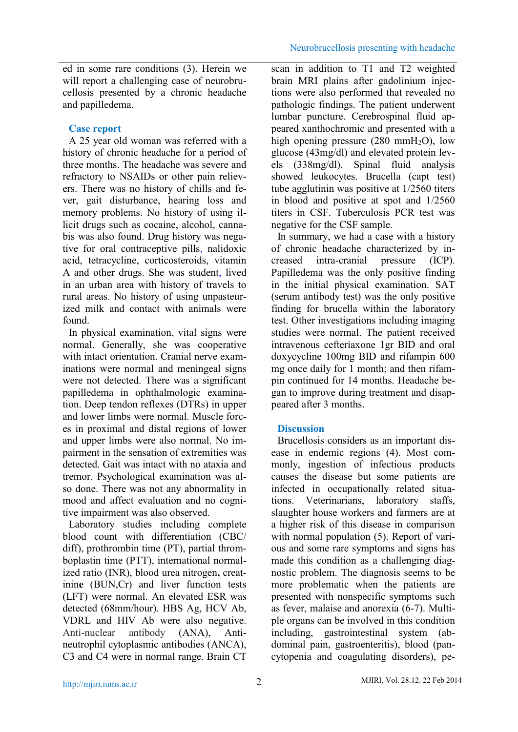ed in some rare conditions (3). Herein we will report a challenging case of neurobrucellosis presented by a chronic headache and papilledema.

## **Case report**

A 25 year old woman was referred with a history of chronic headache for a period of three months. The headache was severe and refractory to NSAIDs or other pain relievers. There was no history of chills and fever, gait disturbance, hearing loss and memory problems. No history of using illicit drugs such as cocaine, alcohol, cannabis was also found. Drug history was negative for oral contraceptive pills, nalidoxic acid, tetracycline, corticosteroids, vitamin A and other drugs. She was student, lived in an urban area with history of travels to rural areas. No history of using unpasteurized milk and contact with animals were found.

In physical examination, vital signs were normal. Generally, she was cooperative with intact orientation. Cranial nerve examinations were normal and meningeal signs were not detected. There was a significant papilledema in ophthalmologic examination. Deep tendon reflexes (DTRs) in upper and lower limbs were normal. Muscle forces in proximal and distal regions of lower and upper limbs were also normal. No impairment in the sensation of extremities was detected. Gait was intact with no ataxia and tremor. Psychological examination was also done. There was not any abnormality in mood and affect evaluation and no cognitive impairment was also observed.

Laboratory studies including complete blood count with differentiation (CBC/ diff), prothrombin time (PT), partial thromboplastin time (PTT), international normalized ratio (INR), blood urea nitrogen**,** creatinin**e** (BUN,Cr) and liver function tests (LFT) were normal. An elevated ESR was detected (68mm/hour). HBS Ag, HCV Ab, VDRL and HIV Ab were also negative. Anti-nuclear antibody (ANA), Anti neutrophil cytoplasmic antibodies (ANCA), C3 and C4 were in normal range. Brain CT

scan in addition to T1 and T2 weighted brain MRI plains after gadolinium injections were also performed that revealed no pathologic findings. The patient underwent lumbar puncture. Cerebrospinal fluid appeared xanthochromic and presented with a high opening pressure  $(280 \text{ mmH}_2\text{O})$ , low glucose (43mg/dl) and elevated protein levels (338mg/dl). Spinal fluid analysis showed leukocytes. Brucella (capt test) tube agglutinin was positive at 1/2560 titers in blood and positive at spot and 1/2560 titers in CSF. Tuberculosis PCR test was negative for the CSF sample.

In summary, we had a case with a history of chronic headache characterized by inintra-cranial pressure (ICP). Papilledema was the only positive finding in the initial physical examination. SAT (serum antibody test) was the only positive finding for brucella within the laboratory test. Other investigations including imaging studies were normal. The patient received intravenous cefteriaxone 1gr BID and oral doxycycline 100mg BID and rifampin 600 mg once daily for 1 month; and then rifampin continued for 14 months. Headache began to improve during treatment and disappeared after 3 months.

# **Discussion**

Brucellosis considers as an important disease in endemic regions (4). Most commonly, ingestion of infectious products causes the disease but some patients are infected in occupationally related situations. Veterinarians, laboratory staffs, slaughter house workers and farmers are at a higher risk of this disease in comparison with normal population (5). Report of various and some rare symptoms and signs has made this condition as a challenging diagnostic problem. The diagnosis seems to be more problematic when the patients are presented with nonspecific symptoms such as fever, malaise and anorexia (6-7). Multiple organs can be involved in this condition including, gastrointestinal system (abdominal pain, gastroenteritis), blood (pancytopenia and coagulating disorders), pe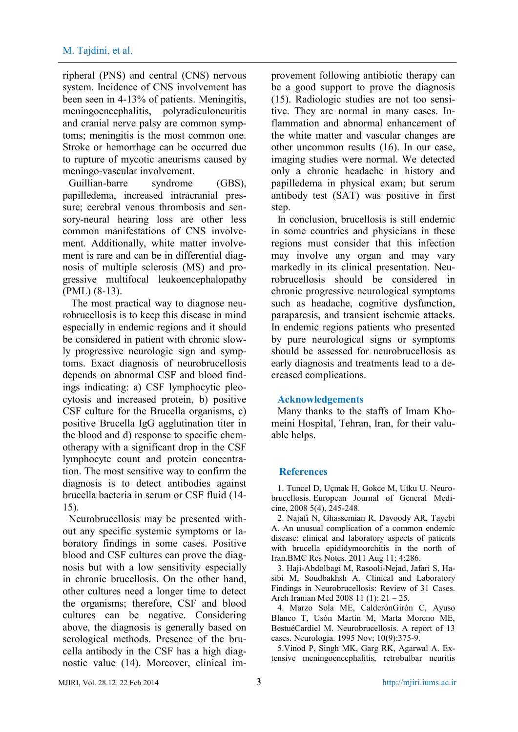ripheral (PNS) and central (CNS) nervous system. Incidence of CNS involvement has been seen in 4-13% of patients. Meningitis, meningoencephalitis, polyradiculoneuritis and cranial nerve palsy are common symptoms; meningitis is the most common one. Stroke or hemorrhage can be occurred due to rupture of mycotic aneurisms caused by meningo-vascular involvement.

Guillian-barre syndrome (GBS), papilledema, increased intracranial pressure; cerebral venous thrombosis and sensory-neural hearing loss are other less common manifestations of CNS involvement. Additionally, white matter involvement is rare and can be in differential diagnosis of multiple sclerosis (MS) and progressive multifocal leukoencephalopathy (PML) (8-13).

The most practical way to diagnose neurobrucellosis is to keep this disease in mind especially in endemic regions and it should be considered in patient with chronic slowly progressive neurologic sign and symptoms. Exact diagnosis of neurobrucellosis depends on abnormal CSF and blood findings indicating: a) CSF lymphocytic pleocytosis and increased protein, b) positive CSF culture for the Brucella organisms, c) positive Brucella IgG agglutination titer in the blood and d) response to specific chemotherapy with a significant drop in the CSF lymphocyte count and protein concentration. The most sensitive way to confirm the diagnosis is to detect antibodies against brucella bacteria in serum or CSF fluid (14- 15).

Neurobrucellosis may be presented without any specific systemic symptoms or laboratory findings in some cases. Positive blood and CSF cultures can prove the diagnosis but with a low sensitivity especially in chronic brucellosis. On the other hand, other cultures need a longer time to detect the organisms; therefore, CSF and blood cultures can be negative. Considering above, the diagnosis is generally based on serological methods. Presence of the brucella antibody in the CSF has a high diagnostic value (14). Moreover, clinical improvement following antibiotic therapy can be a good support to prove the diagnosis (15). Radiologic studies are not too sensitive. They are normal in many cases. Inflammation and abnormal enhancement of the white matter and vascular changes are other uncommon results (16). In our case, imaging studies were normal. We detected only a chronic headache in history and papilledema in physical exam; but serum antibody test (SAT) was positive in first step.

In conclusion, brucellosis is still endemic in some countries and physicians in these regions must consider that this infection may involve any organ and may vary markedly in its clinical presentation. Neurobrucellosis should be considered in chronic progressive neurological symptoms such as headache, cognitive dysfunction, paraparesis, and transient ischemic attacks. In endemic regions patients who presented by pure neurological signs or symptoms should be assessed for neurobrucellosis as early diagnosis and treatments lead to a decreased complications.

#### **Acknowledgements**

Many thanks to the staffs of Imam Khomeini Hospital, Tehran, Iran, for their valuable helps.

### **References**

1. Tuncel D, Uçmak H, Gokce M, Utku U. Neurobrucellosis. European Journal of General Medicine, 2008 5(4), 245-248.

2. Najafi N, Ghassemian R, Davoody AR, Tayebi A. An unusual complication of a common endemic disease: clinical and laboratory aspects of patients with brucella epididymoorchitis in the north of Iran.BMC Res Notes. 2011 Aug 11; 4:286.

3. Haji-Abdolbagi M, Rasooli-Nejad, Jafari S, Hasibi M, Soudbakhsh A. Clinical and Laboratory Findings in Neurobrucellosis: Review of 31 Cases. Arch Iranian Med 2008 11 (1): 21 – 25.

4. Marzo Sola ME, CalderónGirón C, Ayuso Blanco T, Usón Martín M, Marta Moreno ME, BestuéCardiel M. Neurobrucellosis. A report of 13 cases. Neurologia. 1995 Nov; 10(9):375-9.

5.Vinod P, Singh MK, Garg RK, Agarwal A. Extensive meningoencephalitis, retrobulbar neuritis